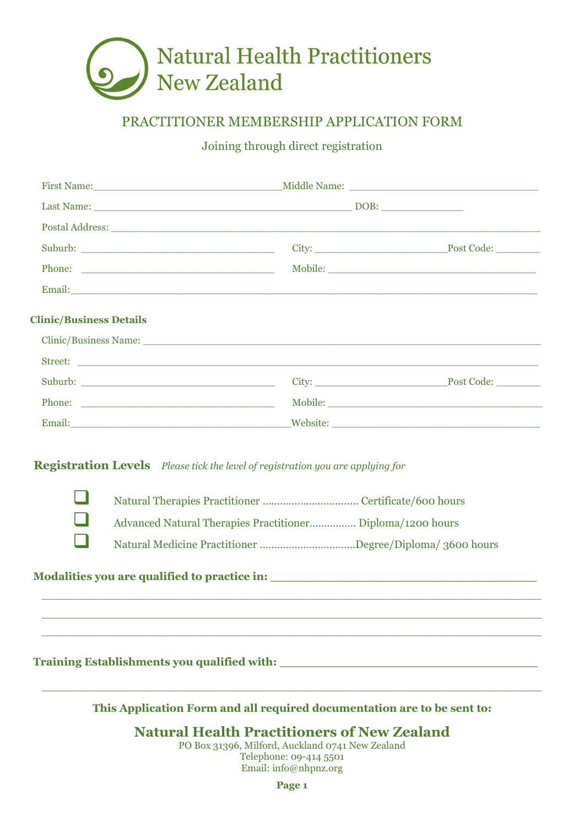

# PRACTITIONER MEMBERSHIP APPLICATION FORM

Joining through direct registration

|                                | Postal Address: North American School and School and School and School and School and School and School and School and School and School and School and School and School and School and School and School and School and Scho |                                                    |  |
|--------------------------------|--------------------------------------------------------------------------------------------------------------------------------------------------------------------------------------------------------------------------------|----------------------------------------------------|--|
|                                |                                                                                                                                                                                                                                |                                                    |  |
|                                |                                                                                                                                                                                                                                |                                                    |  |
|                                |                                                                                                                                                                                                                                |                                                    |  |
| <b>Clinic/Business Details</b> |                                                                                                                                                                                                                                |                                                    |  |
|                                | Clinic/Business Name: Latin Communication of the Communication of the Communication of the Communication of the Communication of the Communication of the Communication of the Communication of the Communication of the Commu |                                                    |  |
|                                |                                                                                                                                                                                                                                |                                                    |  |
|                                |                                                                                                                                                                                                                                |                                                    |  |
|                                |                                                                                                                                                                                                                                |                                                    |  |
|                                |                                                                                                                                                                                                                                |                                                    |  |
|                                | Advanced Natural Therapies Practitioner Diploma/1200 hours                                                                                                                                                                     |                                                    |  |
|                                | Natural Medicine Practitioner Degree/Diploma/ 3600 hours                                                                                                                                                                       |                                                    |  |
|                                |                                                                                                                                                                                                                                |                                                    |  |
|                                |                                                                                                                                                                                                                                |                                                    |  |
|                                | This Application Form and all required documentation are to be sent to:                                                                                                                                                        |                                                    |  |
|                                |                                                                                                                                                                                                                                | <b>Natural Health Practitioners of New Zealand</b> |  |

PO Box 31396, Milford, Auckland 0741 New Zealand Telephone: 09-414 5501 Email: info@nhpnz.org

**Page 1**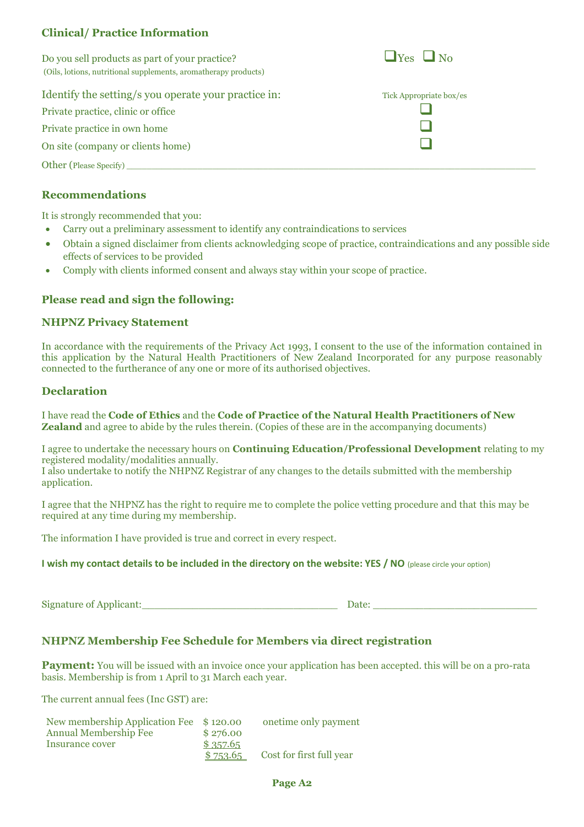# **Clinical/ Practice Information**

Do you sell products as part of your practice?  $\Box$  Yes  $\Box$  No (Oils, lotions, nutritional supplements, aromatherapy products)

## Identify the setting/s you operate your practice in:

Private practice, clinic or office ❑ Private practice in own home On site (company or clients home)

Other (Please Specify)

## **Recommendations**

It is strongly recommended that you:

- Carry out a preliminary assessment to identify any contraindications to services
- Obtain a signed disclaimer from clients acknowledging scope of practice, contraindications and any possible side effects of services to be provided
- Comply with clients informed consent and always stay within your scope of practice.

# **Please read and sign the following:**

### **NHPNZ Privacy Statement**

In accordance with the requirements of the Privacy Act 1993, I consent to the use of the information contained in this application by the Natural Health Practitioners of New Zealand Incorporated for any purpose reasonably connected to the furtherance of any one or more of its authorised objectives.

#### **Declaration**

I have read the **Code of Ethics** and the **Code of Practice of the Natural Health Practitioners of New Zealand** and agree to abide by the rules therein. (Copies of these are in the accompanying documents)

I agree to undertake the necessary hours on **Continuing Education/Professional Development** relating to my registered modality/modalities annually.

I also undertake to notify the NHPNZ Registrar of any changes to the details submitted with the membership application.

I agree that the NHPNZ has the right to require me to complete the police vetting procedure and that this may be required at any time during my membership.

The information I have provided is true and correct in every respect.

**I** wish my contact details to be included in the directory on the website: YES / NO (please circle your option)

Signature of Applicant:\_\_\_\_\_\_\_\_\_\_\_\_\_\_\_\_\_\_\_\_\_\_\_\_\_\_\_\_\_\_\_ Date: \_\_\_\_\_\_\_\_\_\_\_\_\_\_\_\_\_\_\_\_\_\_\_\_\_\_

# **NHPNZ Membership Fee Schedule for Members via direct registration**

**Payment:** You will be issued with an invoice once your application has been accepted. this will be on a pro-rata basis. Membership is from 1 April to 31 March each year.

The current annual fees (Inc GST) are:

| New membership Application Fee \$120.00 |          | onetime only payment     |
|-----------------------------------------|----------|--------------------------|
| <b>Annual Membership Fee</b>            | \$276.00 |                          |
| Insurance cover                         | \$357.65 |                          |
|                                         | \$753.65 | Cost for first full year |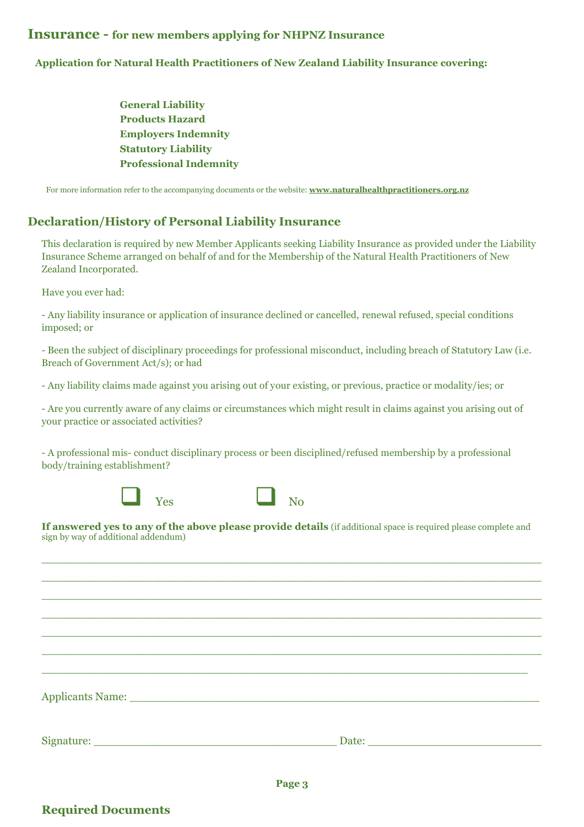## **Insurance - for new members applying for NHPNZ Insurance**

#### **Application for Natural Health Practitioners of New Zealand Liability Insurance covering:**

 **General Liability Products Hazard Employers Indemnity Statutory Liability Professional Indemnity**

For more information refer to the accompanying documents or the website: **[www.naturalhealthpractitioners.org.nz](http://www.naturalhealthpractitioners.org.nz/)**

## **Declaration/History of Personal Liability Insurance**

This declaration is required by new Member Applicants seeking Liability Insurance as provided under the Liability Insurance Scheme arranged on behalf of and for the Membership of the Natural Health Practitioners of New Zealand Incorporated.

Have you ever had:

- Any liability insurance or application of insurance declined or cancelled, renewal refused, special conditions imposed; or

- Been the subject of disciplinary proceedings for professional misconduct, including breach of Statutory Law (i.e. Breach of Government Act/s); or had

- Any liability claims made against you arising out of your existing, or previous, practice or modality/ies; or

- Are you currently aware of any claims or circumstances which might result in claims against you arising out of your practice or associated activities?

- A professional mis- conduct disciplinary process or been disciplined/refused membership by a professional body/training establishment?





**If answered yes to any of the above please provide details** (if additional space is required please complete and sign by way of additional addendum)

 $\_$  , and the set of the set of the set of the set of the set of the set of the set of the set of the set of the set of the set of the set of the set of the set of the set of the set of the set of the set of the set of th  $\_$  , and the set of the set of the set of the set of the set of the set of the set of the set of the set of the set of the set of the set of the set of the set of the set of the set of the set of the set of the set of th  $\_$  , and the set of the set of the set of the set of the set of the set of the set of the set of the set of the set of the set of the set of the set of the set of the set of the set of the set of the set of the set of th  $\_$  , and the set of the set of the set of the set of the set of the set of the set of the set of the set of the set of the set of the set of the set of the set of the set of the set of the set of the set of the set of th  $\_$  , and the set of the set of the set of the set of the set of the set of the set of the set of the set of the set of the set of the set of the set of the set of the set of the set of the set of the set of the set of th  $\_$  , and the set of the set of the set of the set of the set of the set of the set of the set of the set of the set of the set of the set of the set of the set of the set of the set of the set of the set of the set of th

 $\_$  , and the set of the set of the set of the set of the set of the set of the set of the set of the set of the set of the set of the set of the set of the set of the set of the set of the set of the set of the set of th

Applicants Name:

Signature: <u>Date:</u> 2014